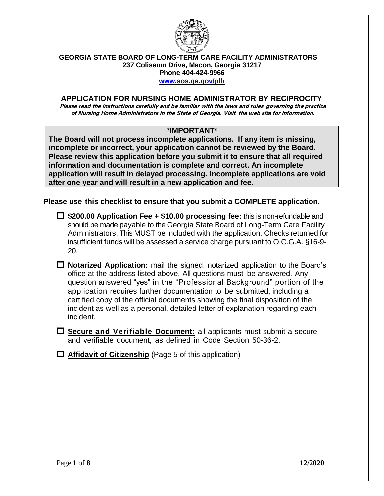

#### **GEORGIA STATE BOARD OF LONG-TERM CARE FACILITY ADMINISTRATORS 237 Coliseum Drive, Macon, Georgia 31217**

**Phone 404-424-9966**

**[www.sos.ga.gov/plb](http://www.sos.ga.gov/plb)**

### **APPLICATION FOR NURSING HOME ADMINISTRATOR BY RECIPROCITY**

Please read the instructions carefully and be familiar with the laws and rules governing the practice of Nursing Home Administrators in the State of Georgia. Visit the web site for information.

## **\*IMPORTANT\***

**The Board will not process incomplete applications. If any item is missing, incomplete or incorrect, your application cannot be reviewed by the Board. Please review this application before you submit it to ensure that all required information and documentation is complete and correct. An incomplete application will result in delayed processing. Incomplete applications are void after one year and will result in a new application and fee.**

**Please use this checklist to ensure that you submit a COMPLETE application.**

- **\$200.00 Application Fee + \$10.00 processing fee:** this is non-refundable and should be made payable to the Georgia State Board of Long-Term Care Facility Administrators. This MUST be included with the application. Checks returned for insufficient funds will be assessed a service charge pursuant to O.C.G.A. §16-9- 20.
- **Notarized Application:** mail the signed, notarized application to the Board's office at the address listed above. All questions must be answered. Any question answered "yes" in the "Professional Background" portion of the application requires further documentation to be submitted, including a certified copy of the official documents showing the final disposition of the incident as well as a personal, detailed letter of explanation regarding each incident.
- **Secure and Verifiable Document:** all applicants must submit a secure and verifiable document, as defined in Code Section 50-36-2.
- **Affidavit of Citizenship** (Page 5 of this application)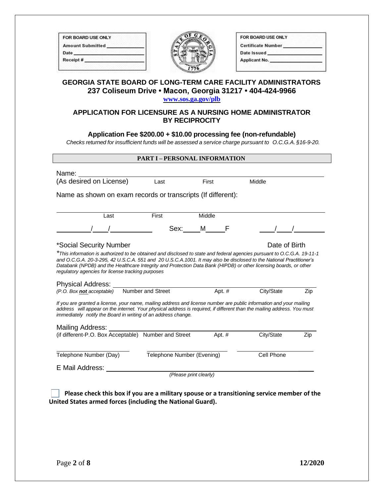| <b>FOR BOARD USE ONLY</b> |  |
|---------------------------|--|
| <b>Amount Submitted</b>   |  |
| Date                      |  |
| Receipt#                  |  |



| FOR BOARD USE ONLY        |  |
|---------------------------|--|
| <b>Certificate Number</b> |  |
| Date Issued               |  |
| <b>Applicant No.</b>      |  |
|                           |  |

### **GEORGIA STATE BOARD OF LONG-TERM CARE FACILITY ADMINISTRATORS 237 Coliseum Drive • Macon, Georgia 31217 • 404-424-9966 [www.sos.ga.gov/plb](http://www.sos.ga.gov/plb)**

### **APPLICATION FOR LICENSURE AS A NURSING HOME ADMINISTRATOR BY RECIPROCITY**

### **Application Fee \$200.00 + \$10.00 processing fee (non-refundable)**

*Checks returned for insufficient funds will be assessed a service charge pursuant to O.C.G.A. §16-9-20.*

| <b>PART I - PERSONAL INFORMATION</b>                                                                                                                                                                                                                                                                                                                                                                                                                                  |                            |        |            |     |  |
|-----------------------------------------------------------------------------------------------------------------------------------------------------------------------------------------------------------------------------------------------------------------------------------------------------------------------------------------------------------------------------------------------------------------------------------------------------------------------|----------------------------|--------|------------|-----|--|
| Name:                                                                                                                                                                                                                                                                                                                                                                                                                                                                 |                            |        |            |     |  |
| (As desired on License)                                                                                                                                                                                                                                                                                                                                                                                                                                               | Last                       | First  | Middle     |     |  |
| Name as shown on exam records or transcripts (If different):                                                                                                                                                                                                                                                                                                                                                                                                          |                            |        |            |     |  |
| Last                                                                                                                                                                                                                                                                                                                                                                                                                                                                  | First                      | Middle |            |     |  |
|                                                                                                                                                                                                                                                                                                                                                                                                                                                                       | Sex:                       | M      |            |     |  |
| Date of Birth<br>*Social Security Number<br>*This information is authorized to be obtained and disclosed to state and federal agencies pursuant to O.C.G.A. 19-11-1<br>and O.C.G.A. 20-3-295, 42 U.S.C.A. 551 and 20 U.S.C.A. 1001. It may also be disclosed to the National Practitioner's<br>Databank (NPDB) and the Healthcare Integrity and Protection Data Bank (HIPDB) or other licensing boards, or other<br>regulatory agencies for license tracking purposes |                            |        |            |     |  |
| Physical Address: _<br>(P.O. Box not acceptable)                                                                                                                                                                                                                                                                                                                                                                                                                      | Number and Street          | Apt. # | City/State | Zip |  |
| If you are granted a license, your name, mailing address and license number are public information and your mailing<br>address will appear on the internet. Your physical address is required, if different than the mailing address. You must<br>immediately notify the Board in writing of an address change.                                                                                                                                                       |                            |        |            |     |  |
| Mailing Address:<br>(if different-P.O. Box Acceptable) Number and Street                                                                                                                                                                                                                                                                                                                                                                                              |                            | Apt. # | City/State | Zip |  |
| Telephone Number (Day)                                                                                                                                                                                                                                                                                                                                                                                                                                                | Telephone Number (Evening) |        | Cell Phone |     |  |
| E Mail Address:                                                                                                                                                                                                                                                                                                                                                                                                                                                       | (Please print clearly)     |        |            |     |  |

 **Please check this box if you are a military spouse or a transitioning service member of the United States armed forces (including the National Guard).**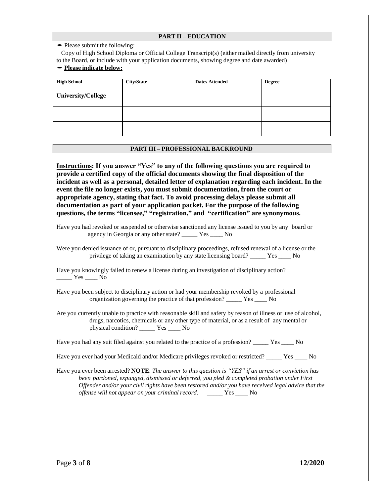#### **PART II – EDUCATION**

• Please submit the following:

Copy of High School Diploma or Official College Transcript(s) (either mailed directly from university to the Board, or include with your application documents, showing degree and date awarded) •**Please indicate below:**

| <b>High School</b>        | <b>City/State</b> | <b>Dates Attended</b> | <b>Degree</b> |
|---------------------------|-------------------|-----------------------|---------------|
| <b>University/College</b> |                   |                       |               |
|                           |                   |                       |               |
|                           |                   |                       |               |

#### **PART III – PROFESSIONAL BACKROUND**

**Instructions: If you answer "Yes" to any of the following questions you are required to provide a certified copy of the official documents showing the final disposition of the incident as well as a personal, detailed letter of explanation regarding each incident. In the event the file no longer exists, you must submit documentation, from the court or appropriate agency, stating that fact. To avoid processing delays please submit all documentation as part of your application packet. For the purpose of the following questions, the terms "licensee," "registration," and "certification" are synonymous.**

Have you had revoked or suspended or otherwise sanctioned any license issued to you by any board or agency in Georgia or any other state? \_\_\_\_\_ Yes \_\_\_\_ No

Were you denied issuance of or, pursuant to disciplinary proceedings, refused renewal of a license or the privilege of taking an examination by any state licensing board? \_\_\_\_\_ Yes \_\_\_\_ No

Have you knowingly failed to renew a license during an investigation of disciplinary action?  $\frac{Yes}{1}$  No

Have you been subject to disciplinary action or had your membership revoked by a professional organization governing the practice of that profession? \_\_\_\_\_ Yes \_\_\_\_ No

Are you currently unable to practice with reasonable skill and safety by reason of illness or use of alcohol, drugs, narcotics, chemicals or any other type of material, or as a result of any mental or physical condition? \_\_\_\_\_ Yes \_\_\_\_ No

Have you had any suit filed against you related to the practice of a profession? \_\_\_\_\_ Yes \_\_\_\_ No

Have you ever had your Medicaid and/or Medicare privileges revoked or restricted? \_\_\_\_\_ Yes \_\_\_\_ No

Have you ever been arrested? **NOTE**: *The answer to this question is "YES" if an arrest or conviction has been pardoned, expunged, dismissed or deferred, you pled & completed probation under First Offender and/or your civil rights have been restored and/or you have received legal advice that the offense will not appear on your criminal record.* \_\_\_\_\_ Yes \_\_\_\_ No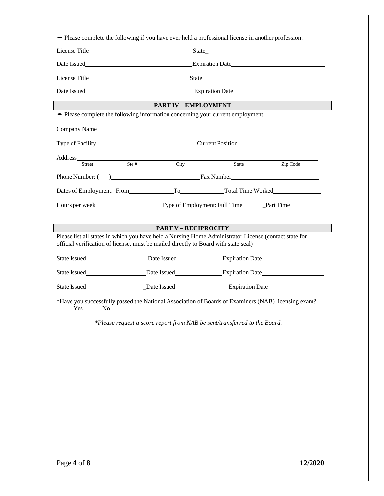|                                                                                                            |         | <b>PART IV – EMPLOYMENT</b>                                                                                                                                                                                                          |          |  |  |
|------------------------------------------------------------------------------------------------------------|---------|--------------------------------------------------------------------------------------------------------------------------------------------------------------------------------------------------------------------------------------|----------|--|--|
|                                                                                                            |         | • Please complete the following information concerning your current employment:                                                                                                                                                      |          |  |  |
| Company Name                                                                                               |         |                                                                                                                                                                                                                                      |          |  |  |
|                                                                                                            |         |                                                                                                                                                                                                                                      |          |  |  |
| Address                                                                                                    |         |                                                                                                                                                                                                                                      |          |  |  |
| Street                                                                                                     | Ste $#$ | City<br>State                                                                                                                                                                                                                        | Zip Code |  |  |
|                                                                                                            |         |                                                                                                                                                                                                                                      |          |  |  |
|                                                                                                            |         |                                                                                                                                                                                                                                      |          |  |  |
| Hours per week_______________________________Type of Employment: Full Time_________Part Time______________ |         |                                                                                                                                                                                                                                      |          |  |  |
|                                                                                                            |         |                                                                                                                                                                                                                                      |          |  |  |
|                                                                                                            |         | <b>PART V – RECIPROCITY</b>                                                                                                                                                                                                          |          |  |  |
|                                                                                                            |         | Please list all states in which you have held a Nursing Home Administrator License (contact state for<br>official verification of license, must be mailed directly to Board with state seal)                                         |          |  |  |
|                                                                                                            |         | State Issued State Issued State Issued State Issued State Issued State Issued State Issued State Issued State Issued State Issued State Issued State Issued State Issued State Issued State Issued State Issued State Issued S       |          |  |  |
|                                                                                                            |         |                                                                                                                                                                                                                                      |          |  |  |
|                                                                                                            |         | State Issued <b>State Issued State Issued State Issued State Issued State Issued State Issued State Issued State Issued State Issued State Issued State Issued State Issued State Issued State Issued State Issued State Issued </b> |          |  |  |

*\*Please request a score report from NAB be sent/transferred to the Board.*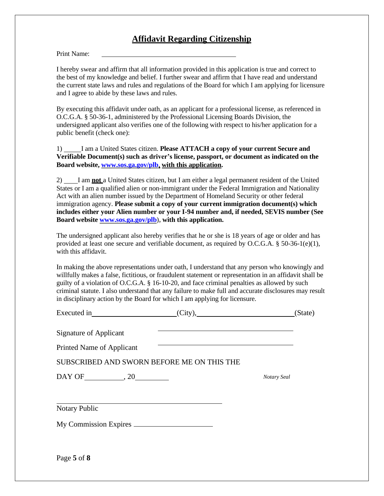# **Affidavit Regarding Citizenship**

Print Name:

I hereby swear and affirm that all information provided in this application is true and correct to the best of my knowledge and belief. I further swear and affirm that I have read and understand the current state laws and rules and regulations of the Board for which I am applying for licensure and I agree to abide by these laws and rules.

By executing this affidavit under oath, as an applicant for a professional license, as referenced in O.C.G.A. § 50-36-1, administered by the Professional Licensing Boards Division, the undersigned applicant also verifies one of the following with respect to his/her application for a public benefit (check one):

1) I am a United States citizen. **Please ATTACH a copy of your current Secure and Verifiable Document(s) such as driver's license, passport, or document as indicated on the Board website, [www.sos.ga.gov/plb,](http://www.sos.ga.gov/plb) with this application.**

2) I am **not** a United States citizen, but I am either a legal permanent resident of the United States or I am a qualified alien or non-immigrant under the Federal Immigration and Nationality Act with an alien number issued by the Department of Homeland Security or other federal immigration agency. **Please submit a copy of your current immigration document(s) which includes either your Alien number or your I-94 number and, if needed, SEVIS number (See Board website [www.sos.ga.gov/plb\)](http://www.sos.ga.gov/plb), with this application.**

The undersigned applicant also hereby verifies that he or she is 18 years of age or older and has provided at least one secure and verifiable document, as required by O.C.G.A.  $\S$  50-36-1(e)(1), with this affidavit.

In making the above representations under oath, I understand that any person who knowingly and willfully makes a false, fictitious, or fraudulent statement or representation in an affidavit shall be guilty of a violation of O.C.G.A. § 16-10-20, and face criminal penalties as allowed by such criminal statute. I also understand that any failure to make full and accurate disclosures may result in disciplinary action by the Board for which I am applying for licensure.

|                                            |                                                                                                                      | (State)     |
|--------------------------------------------|----------------------------------------------------------------------------------------------------------------------|-------------|
| <b>Signature of Applicant</b>              |                                                                                                                      |             |
| Printed Name of Applicant                  | <u> Alexandria de la contrada de la contrada de la contrada de la contrada de la contrada de la contrada de la c</u> |             |
| SUBSCRIBED AND SWORN BEFORE ME ON THIS THE |                                                                                                                      |             |
|                                            |                                                                                                                      | Notary Seal |
|                                            |                                                                                                                      |             |
| <b>Notary Public</b>                       |                                                                                                                      |             |
|                                            |                                                                                                                      |             |
|                                            |                                                                                                                      |             |
| Page 5 of 8                                |                                                                                                                      |             |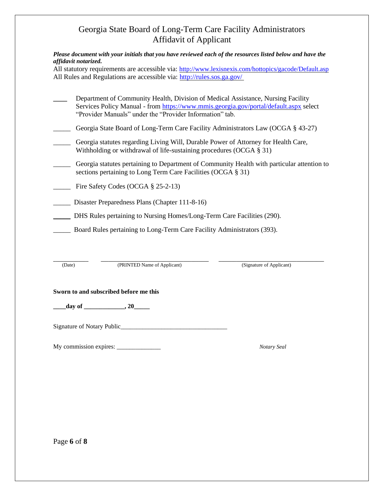# Georgia State Board of Long-Term Care Facility Administrators Affidavit of Applicant

*Please document with your initials that you have reviewed each of the resources listed below and have the affidavit notarized.* 

All statutory requirements are accessible via: <http://www.lexisnexis.com/hottopics/gacode/Default.asp> All Rules and Regulations are accessible via:<http://rules.sos.ga.gov/>

| Department of Community Health, Division of Medical Assistance, Nursing Facility      |
|---------------------------------------------------------------------------------------|
| Services Policy Manual - from https://www.mmis.georgia.gov/portal/default.aspx select |
| "Provider Manuals" under the "Provider Information" tab.                              |

- Georgia State Board of Long-Term Care Facility Administrators Law (OCGA § 43-27)
- Georgia statutes regarding Living Will, Durable Power of Attorney for Health Care, Withholding or withdrawal of life-sustaining procedures (OCGA § 31)
- \_\_\_\_\_ Georgia statutes pertaining to Department of Community Health with particular attention to sections pertaining to Long Term Care Facilities (OCGA § 31)
- Fire Safety Codes (OCGA § 25-2-13)
- \_\_\_\_\_ Disaster Preparedness Plans (Chapter 111-8-16)
- \_\_\_\_\_ DHS Rules pertaining to Nursing Homes/Long-Term Care Facilities (290).
- \_\_\_\_\_ Board Rules pertaining to Long-Term Care Facility Administrators (393).

**\_\_\_\_\_\_\_\_\_\_\_\_\_\_ \_\_\_\_\_\_\_\_\_\_\_\_\_\_\_\_\_\_\_\_\_\_\_\_\_\_\_\_\_\_\_\_\_\_\_\_\_\_\_\_\_\_\_ \_\_\_\_\_\_\_\_\_\_\_\_\_\_\_\_\_\_\_\_\_\_\_\_\_\_\_\_\_\_\_\_\_\_\_\_\_\_\_\_\_\_** (Date) (PRINTED Name of Applicant) (Signature of Applicant)

#### **Sworn to and subscribed before me this**

**\_\_\_\_day of \_\_\_\_\_\_\_\_\_\_\_\_\_, 20\_\_\_\_\_**

Signature of Notary Public\_\_\_\_\_\_\_\_\_\_\_\_\_\_\_\_\_\_\_\_\_\_\_\_\_\_\_\_\_\_\_\_\_\_

My commission expires: \_\_\_\_\_\_\_\_\_\_\_\_\_\_ *Notary Seal*

Page **6** of **8**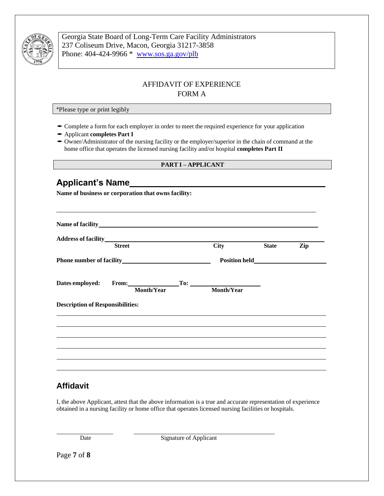

Georgia State Board of Long-Term Care Facility Administrators 237 Coliseum Drive, Macon, Georgia 31217-3858 Phone: 404-424-9966 \* [www.sos.ga.gov/plb](http://www.sos.ga.gov/plb/nursinghome)

## AFFIDAVIT OF EXPERIENCE FORM A

\*Please type or print legibly

- •Complete <sup>a</sup> form for each employer in order to meet the required experience for your application
- •Applicant **completes Part <sup>I</sup>**
- •Owner/Administrator of the nursing facility or the employer/superior in the chain of command at the home office that operates the licensed nursing facility and/or hospital **completes Part II**

#### **PART I – APPLICANT**

## **Applicant's Name**

**Name of business or corporation that owns facility:**

| Address of facility<br>Street<br>City   |  |  |                               | <b>State</b> | Zip |
|-----------------------------------------|--|--|-------------------------------|--------------|-----|
|                                         |  |  |                               |              |     |
|                                         |  |  | Dates employed: From: To: To: |              |     |
| Month/Year                              |  |  | Month/Year                    |              |     |
| <b>Description of Responsibilities:</b> |  |  |                               |              |     |
|                                         |  |  |                               |              |     |
|                                         |  |  |                               |              |     |
|                                         |  |  |                               |              |     |
|                                         |  |  |                               |              |     |
|                                         |  |  |                               |              |     |

## **Affidavit**

I, the above Applicant, attest that the above information is a true and accurate representation of experience obtained in a nursing facility or home office that operates licensed nursing facilities or hospitals.

Date Signature of Applicant

Page **7** of **8**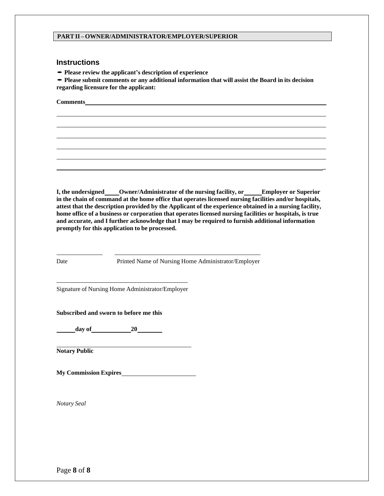#### **PARTII – OWNER/ADMINISTRATOR/EMPLOYER/SUPERIOR**

#### **Instructions**

•**Please review the applicant's description of experience**

•**Please submit comments or any additional information that will assist the Board in its decision regarding licensure for the applicant:**

**Comments**

**I, the undersigned Owner/Administrator of the nursing facility, or Employer or Superior in the chain of command at the home office that operates licensed nursing facilities and/or hospitals, attest that the description provided by the Applicant of the experience obtained in a nursing facility, home office of a business or corporation that operates licensed nursing facilities or hospitals, is true and accurate, and I further acknowledge that I may be required to furnish additional information promptly for this application to be processed.**

**\_**

l

֦

DatePrinted Name of Nursing Home Administrator/Employer

Signature of Nursing Home Administrator/Employer

**Subscribed and sworn to before me this**

**day of 20**

**Notary Public**

**My Commission Expires** 

*Notary Seal*